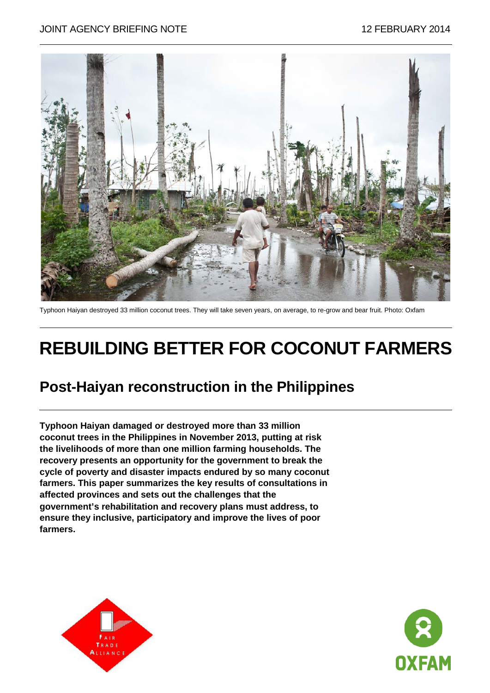#### JOINT AGENCY BRIEFING NOTE 12 FEBRUARY 2014



Typhoon Haiyan destroyed 33 million coconut trees. They will take seven years, on average, to re-grow and bear fruit. Photo: Oxfam

# **REBUILDING BETTER FOR COCONUT FARMERS**

#### **Post-Haiyan reconstruction in the Philippines**

**Typhoon Haiyan damaged or destroyed more than 33 million coconut trees in the Philippines in November 2013, putting at risk the livelihoods of more than one million farming households. The recovery presents an opportunity for the government to break the cycle of poverty and disaster impacts endured by so many coconut farmers. This paper summarizes the key results of consultations in affected provinces and sets out the challenges that the government's rehabilitation and recovery plans must address, to ensure they inclusive, participatory and improve the lives of poor farmers.**



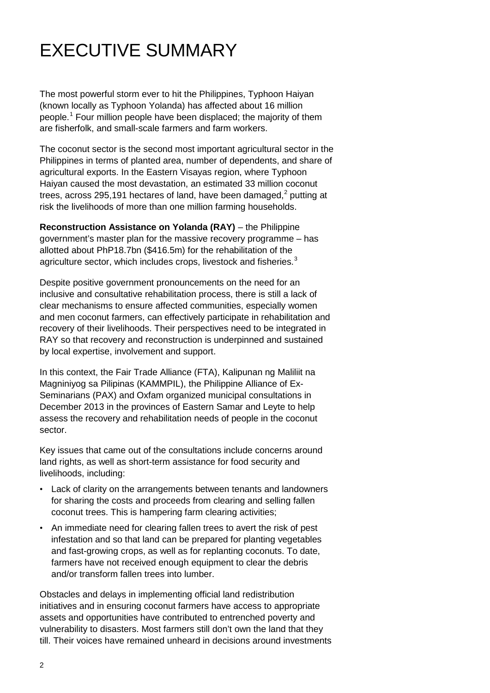# EXECUTIVE SUMMARY

The most powerful storm ever to hit the Philippines, Typhoon Haiyan (known locally as Typhoon Yolanda) has affected about 16 million people.<sup>[1](#page-12-0)</sup> Four million people have been displaced; the majority of them are fisherfolk, and small-scale farmers and farm workers.

The coconut sector is the second most important agricultural sector in the Philippines in terms of planted area, number of dependents, and share of agricultural exports. In the Eastern Visayas region, where Typhoon Haiyan caused the most devastation, an estimated 33 million coconut trees, across [2](#page-12-1)95,191 hectares of land, have been damaged. $2$  putting at risk the livelihoods of more than one million farming households.

**Reconstruction Assistance on Yolanda (RAY)** – the Philippine government's master plan for the massive recovery programme – has allotted about PhP18.7bn (\$416.5m) for the rehabilitation of the agriculture sector, which includes crops, livestock and fisheries.<sup>[3](#page-12-2)</sup>

Despite positive government pronouncements on the need for an inclusive and consultative rehabilitation process, there is still a lack of clear mechanisms to ensure affected communities, especially women and men coconut farmers, can effectively participate in rehabilitation and recovery of their livelihoods. Their perspectives need to be integrated in RAY so that recovery and reconstruction is underpinned and sustained by local expertise, involvement and support.

In this context, the Fair Trade Alliance (FTA), Kalipunan ng Maliliit na Magniniyog sa Pilipinas (KAMMPIL), the Philippine Alliance of Ex-Seminarians (PAX) and Oxfam organized municipal consultations in December 2013 in the provinces of Eastern Samar and Leyte to help assess the recovery and rehabilitation needs of people in the coconut sector.

Key issues that came out of the consultations include concerns around land rights, as well as short-term assistance for food security and livelihoods, including:

- Lack of clarity on the arrangements between tenants and landowners for sharing the costs and proceeds from clearing and selling fallen coconut trees. This is hampering farm clearing activities;
- An immediate need for clearing fallen trees to avert the risk of pest infestation and so that land can be prepared for planting vegetables and fast-growing crops, as well as for replanting coconuts. To date, farmers have not received enough equipment to clear the debris and/or transform fallen trees into lumber.

Obstacles and delays in implementing official land redistribution initiatives and in ensuring coconut farmers have access to appropriate assets and opportunities have contributed to entrenched poverty and vulnerability to disasters. Most farmers still don't own the land that they till. Their voices have remained unheard in decisions around investments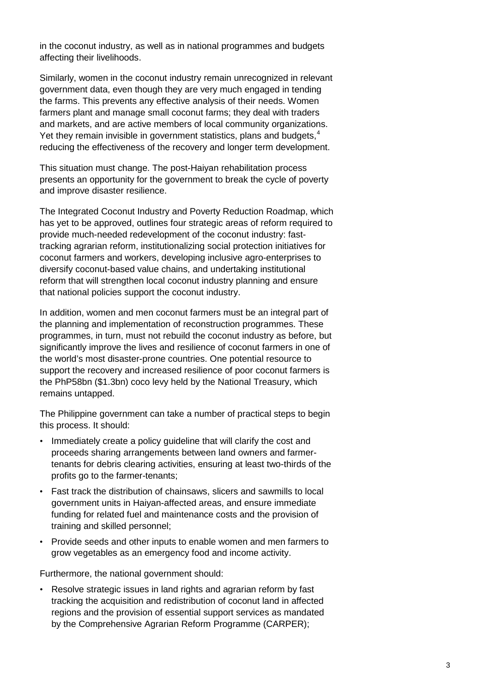in the coconut industry, as well as in national programmes and budgets affecting their livelihoods.

Similarly, women in the coconut industry remain unrecognized in relevant government data, even though they are very much engaged in tending the farms. This prevents any effective analysis of their needs. Women farmers plant and manage small coconut farms; they deal with traders and markets, and are active members of local community organizations. Yet they remain invisible in government statistics, plans and budgets,<sup>[4](#page-12-3)</sup> reducing the effectiveness of the recovery and longer term development.

This situation must change. The post-Haiyan rehabilitation process presents an opportunity for the government to break the cycle of poverty and improve disaster resilience.

The Integrated Coconut Industry and Poverty Reduction Roadmap, which has yet to be approved, outlines four strategic areas of reform required to provide much-needed redevelopment of the coconut industry: fasttracking agrarian reform, institutionalizing social protection initiatives for coconut farmers and workers, developing inclusive agro-enterprises to diversify coconut-based value chains, and undertaking institutional reform that will strengthen local coconut industry planning and ensure that national policies support the coconut industry.

In addition, women and men coconut farmers must be an integral part of the planning and implementation of reconstruction programmes. These programmes, in turn, must not rebuild the coconut industry as before, but significantly improve the lives and resilience of coconut farmers in one of the world's most disaster-prone countries. One potential resource to support the recovery and increased resilience of poor coconut farmers is the PhP58bn (\$1.3bn) coco levy held by the National Treasury, which remains untapped.

The Philippine government can take a number of practical steps to begin this process. It should:

- Immediately create a policy guideline that will clarify the cost and proceeds sharing arrangements between land owners and farmertenants for debris clearing activities, ensuring at least two-thirds of the profits go to the farmer-tenants;
- Fast track the distribution of chainsaws, slicers and sawmills to local government units in Haiyan-affected areas, and ensure immediate funding for related fuel and maintenance costs and the provision of training and skilled personnel;
- Provide seeds and other inputs to enable women and men farmers to grow vegetables as an emergency food and income activity.

Furthermore, the national government should:

Resolve strategic issues in land rights and agrarian reform by fast tracking the acquisition and redistribution of coconut land in affected regions and the provision of essential support services as mandated by the Comprehensive Agrarian Reform Programme (CARPER);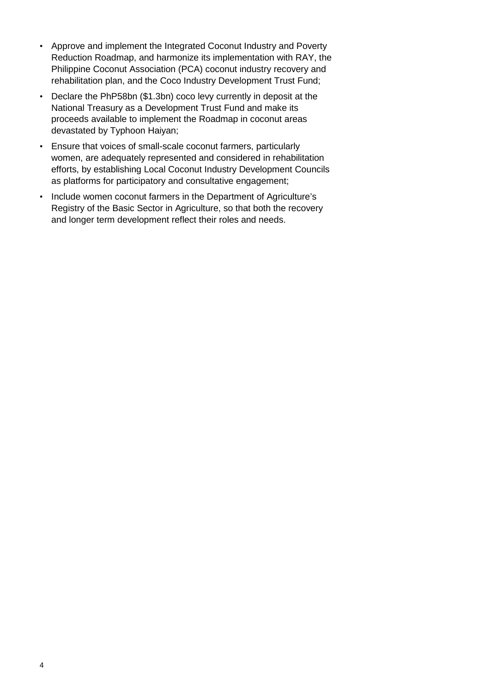- Approve and implement the Integrated Coconut Industry and Poverty Reduction Roadmap, and harmonize its implementation with RAY, the Philippine Coconut Association (PCA) coconut industry recovery and rehabilitation plan, and the Coco Industry Development Trust Fund;
- Declare the PhP58bn (\$1.3bn) coco levy currently in deposit at the National Treasury as a Development Trust Fund and make its proceeds available to implement the Roadmap in coconut areas devastated by Typhoon Haiyan;
- Ensure that voices of small-scale coconut farmers, particularly women, are adequately represented and considered in rehabilitation efforts, by establishing Local Coconut Industry Development Councils as platforms for participatory and consultative engagement;
- Include women coconut farmers in the Department of Agriculture's Registry of the Basic Sector in Agriculture, so that both the recovery and longer term development reflect their roles and needs.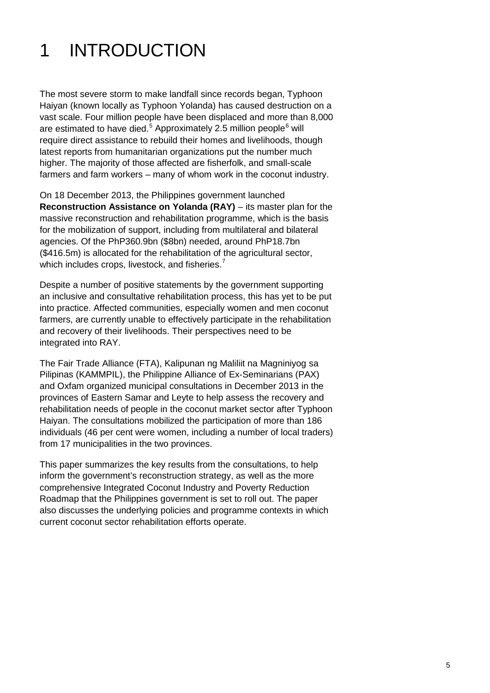## 1 INTRODUCTION

The most severe storm to make landfall since records began, Typhoon Haiyan (known locally as Typhoon Yolanda) has caused destruction on a vast scale. Four million people have been displaced and more than 8,000 are estimated to have died.<sup>[5](#page-12-4)</sup> Approximately 2.5 million people<sup>[6](#page-12-5)</sup> will require direct assistance to rebuild their homes and livelihoods, though latest reports from humanitarian organizations put the number much higher. The majority of those affected are fisherfolk, and small-scale farmers and farm workers – many of whom work in the coconut industry.

On 18 December 2013, the Philippines government launched **Reconstruction Assistance on Yolanda (RAY)** – its master plan for the massive reconstruction and rehabilitation programme, which is the basis for the mobilization of support, including from multilateral and bilateral agencies. Of the PhP360.9bn (\$8bn) needed, around PhP18.7bn (\$416.5m) is allocated for the rehabilitation of the agricultural sector, which includes crops, livestock, and fisheries.<sup>[7](#page-12-6)</sup>

Despite a number of positive statements by the government supporting an inclusive and consultative rehabilitation process, this has yet to be put into practice. Affected communities, especially women and men coconut farmers, are currently unable to effectively participate in the rehabilitation and recovery of their livelihoods. Their perspectives need to be integrated into RAY.

The Fair Trade Alliance (FTA), Kalipunan ng Maliliit na Magniniyog sa Pilipinas (KAMMPIL), the Philippine Alliance of Ex-Seminarians (PAX) and Oxfam organized municipal consultations in December 2013 in the provinces of Eastern Samar and Leyte to help assess the recovery and rehabilitation needs of people in the coconut market sector after Typhoon Haiyan. The consultations mobilized the participation of more than 186 individuals (46 per cent were women, including a number of local traders) from 17 municipalities in the two provinces.

This paper summarizes the key results from the consultations, to help inform the government's reconstruction strategy, as well as the more comprehensive Integrated Coconut Industry and Poverty Reduction Roadmap that the Philippines government is set to roll out. The paper also discusses the underlying policies and programme contexts in which current coconut sector rehabilitation efforts operate.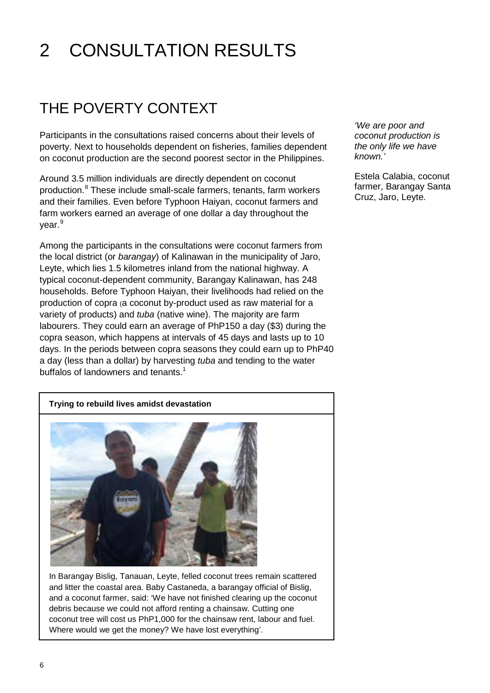# 2 CONSULTATION RESULTS

### THE POVERTY CONTEXT

Participants in the consultations raised concerns about their levels of poverty. Next to households dependent on fisheries, families dependent on coconut production are the second poorest sector in the Philippines.

Around 3.5 million individuals are directly dependent on coconut production.[8](#page-12-7) These include small-scale farmers, tenants, farm workers and their families. Even before Typhoon Haiyan, coconut farmers and farm workers earned an average of one dollar a day throughout the vear.<sup>[9](#page-12-8)</sup>

Among the participants in the consultations were coconut farmers from the local district (or *barangay*) of Kalinawan in the municipality of Jaro, Leyte, which lies 1.5 kilometres inland from the national highway. A typical coconut-dependent community, Barangay Kalinawan, has 248 households. Before Typhoon Haiyan, their livelihoods had relied on the production of copra (a coconut by-product used as raw material for a variety of products) and *tuba* (native wine). The majority are farm labourers. They could earn an average of PhP150 a day (\$3) during the copra season, which happens at intervals of 45 days and lasts up to 10 days. In the periods between copra seasons they could earn up to PhP40 a day (less than a dollar) by harvesting *tuba* and tending to the water buffalos of landowners and tenants.<sup>1</sup>

*'We are poor and coconut production is the only life we have known.'*

Estela Calabia, coconut farmer, Barangay Santa Cruz, Jaro, Leyte.





In Barangay Bislig, Tanauan, Leyte, felled coconut trees remain scattered and litter the coastal area. Baby Castaneda, a barangay official of Bislig, and a coconut farmer, said: 'We have not finished clearing up the coconut debris because we could not afford renting a chainsaw. Cutting one coconut tree will cost us PhP1,000 for the chainsaw rent, labour and fuel. Where would we get the money? We have lost everything'.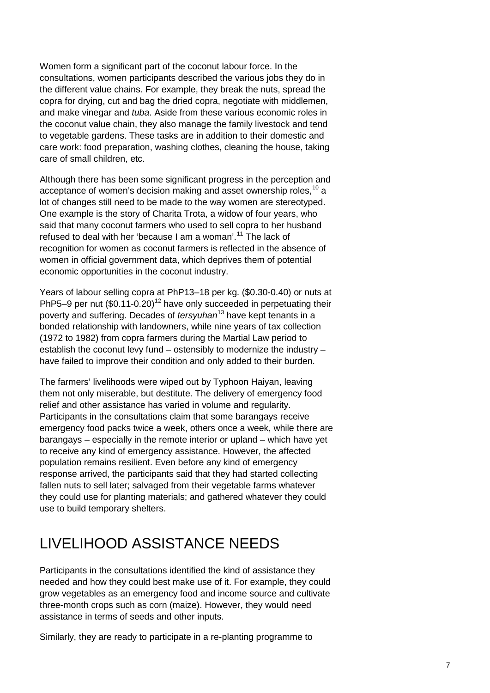Women form a significant part of the coconut labour force. In the consultations, women participants described the various jobs they do in the different value chains. For example, they break the nuts, spread the copra for drying, cut and bag the dried copra, negotiate with middlemen, and make vinegar and *tuba*. Aside from these various economic roles in the coconut value chain, they also manage the family livestock and tend to vegetable gardens. These tasks are in addition to their domestic and care work: food preparation, washing clothes, cleaning the house, taking care of small children, etc.

Although there has been some significant progress in the perception and acceptance of women's decision making and asset ownership roles, <sup>[10](#page-12-9)</sup> a lot of changes still need to be made to the way women are stereotyped. One example is the story of Charita Trota, a widow of four years, who said that many coconut farmers who used to sell copra to her husband refused to deal with her 'because I am a woman'. [11](#page-12-10) The lack of recognition for women as coconut farmers is reflected in the absence of women in official government data, which deprives them of potential economic opportunities in the coconut industry.

Years of labour selling copra at PhP13–18 per kg. (\$0.30-0.40) or nuts at PhP5–9 per nut  $($0.11-0.20)<sup>12</sup>$  $($0.11-0.20)<sup>12</sup>$  $($0.11-0.20)<sup>12</sup>$  have only succeeded in perpetuating their poverty and suffering. Decades of *tersyuhan*[13](#page-12-12) have kept tenants in a bonded relationship with landowners, while nine years of tax collection (1972 to 1982) from copra farmers during the Martial Law period to establish the coconut levy fund – ostensibly to modernize the industry – have failed to improve their condition and only added to their burden.

The farmers' livelihoods were wiped out by Typhoon Haiyan, leaving them not only miserable, but destitute. The delivery of emergency food relief and other assistance has varied in volume and regularity. Participants in the consultations claim that some barangays receive emergency food packs twice a week, others once a week, while there are barangays – especially in the remote interior or upland – which have yet to receive any kind of emergency assistance. However, the affected population remains resilient. Even before any kind of emergency response arrived, the participants said that they had started collecting fallen nuts to sell later; salvaged from their vegetable farms whatever they could use for planting materials; and gathered whatever they could use to build temporary shelters.

### LIVELIHOOD ASSISTANCE NEEDS

Participants in the consultations identified the kind of assistance they needed and how they could best make use of it. For example, they could grow vegetables as an emergency food and income source and cultivate three-month crops such as corn (maize). However, they would need assistance in terms of seeds and other inputs.

Similarly, they are ready to participate in a re-planting programme to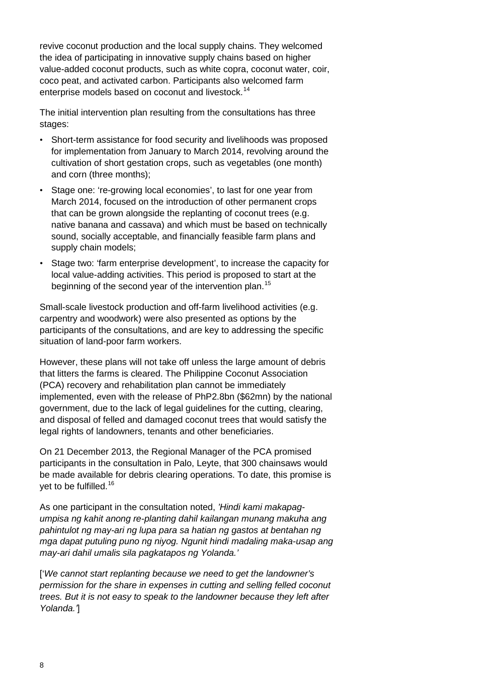revive coconut production and the local supply chains. They welcomed the idea of participating in innovative supply chains based on higher value-added coconut products, such as white copra, coconut water, coir, coco peat, and activated carbon. Participants also welcomed farm enterprise models based on coconut and livestock.<sup>[14](#page-12-13)</sup>

The initial intervention plan resulting from the consultations has three stages:

- Short-term assistance for food security and livelihoods was proposed for implementation from January to March 2014, revolving around the cultivation of short gestation crops, such as vegetables (one month) and corn (three months);
- Stage one: 're-growing local economies', to last for one year from March 2014, focused on the introduction of other permanent crops that can be grown alongside the replanting of coconut trees (e.g. native banana and cassava) and which must be based on technically sound, socially acceptable, and financially feasible farm plans and supply chain models;
- Stage two: 'farm enterprise development', to increase the capacity for local value-adding activities. This period is proposed to start at the beginning of the second year of the intervention plan.<sup>[15](#page-12-14)</sup>

Small-scale livestock production and off-farm livelihood activities (e.g. carpentry and woodwork) were also presented as options by the participants of the consultations, and are key to addressing the specific situation of land-poor farm workers.

However, these plans will not take off unless the large amount of debris that litters the farms is cleared. The Philippine Coconut Association (PCA) recovery and rehabilitation plan cannot be immediately implemented, even with the release of PhP2.8bn (\$62mn) by the national government, due to the lack of legal guidelines for the cutting, clearing, and disposal of felled and damaged coconut trees that would satisfy the legal rights of landowners, tenants and other beneficiaries.

On 21 December 2013, the Regional Manager of the PCA promised participants in the consultation in Palo, Leyte, that 300 chainsaws would be made available for debris clearing operations. To date, this promise is vet to be fulfilled.<sup>[16](#page-12-15)</sup>

As one participant in the consultation noted, *'Hindi kami makapagumpisa ng kahit anong re-planting dahil kailangan munang makuha ang pahintulot ng may-ari ng lupa para sa hatian ng gastos at bentahan ng mga dapat putuling puno ng niyog. Ngunit hindi madaling maka-usap ang may-ari dahil umalis sila pagkatapos ng Yolanda.'*

['*We cannot start replanting because we need to get the landowner's permission for the share in expenses in cutting and selling felled coconut trees. But it is not easy to speak to the landowner because they left after Yolanda.'*]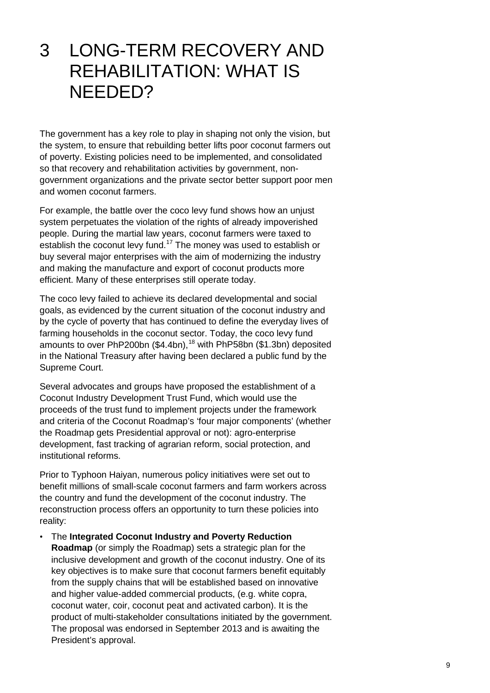### 3 LONG-TERM RECOVERY AND REHABILITATION: WHAT IS NEEDED?

The government has a key role to play in shaping not only the vision, but the system, to ensure that rebuilding better lifts poor coconut farmers out of poverty. Existing policies need to be implemented, and consolidated so that recovery and rehabilitation activities by government, nongovernment organizations and the private sector better support poor men and women coconut farmers.

For example, the battle over the coco levy fund shows how an unjust system perpetuates the violation of the rights of already impoverished people. During the martial law years, coconut farmers were taxed to establish the coconut levy fund.<sup>[17](#page-12-16)</sup> The money was used to establish or buy several major enterprises with the aim of modernizing the industry and making the manufacture and export of coconut products more efficient. Many of these enterprises still operate today.

The coco levy failed to achieve its declared developmental and social goals, as evidenced by the current situation of the coconut industry and by the cycle of poverty that has continued to define the everyday lives of farming households in the coconut sector. Today, the coco levy fund amounts to over PhP200bn (\$4.4bn),<sup>[18](#page-12-17)</sup> with PhP58bn (\$1.3bn) deposited in the National Treasury after having been declared a public fund by the Supreme Court.

Several advocates and groups have proposed the establishment of a Coconut Industry Development Trust Fund, which would use the proceeds of the trust fund to implement projects under the framework and criteria of the Coconut Roadmap's 'four major components' (whether the Roadmap gets Presidential approval or not): agro-enterprise development, fast tracking of agrarian reform, social protection, and institutional reforms.

Prior to Typhoon Haiyan, numerous policy initiatives were set out to benefit millions of small-scale coconut farmers and farm workers across the country and fund the development of the coconut industry. The reconstruction process offers an opportunity to turn these policies into reality:

• The **Integrated Coconut Industry and Poverty Reduction Roadmap** (or simply the Roadmap) sets a strategic plan for the inclusive development and growth of the coconut industry. One of its key objectives is to make sure that coconut farmers benefit equitably from the supply chains that will be established based on innovative and higher value-added commercial products, (e.g. white copra, coconut water, coir, coconut peat and activated carbon). It is the product of multi-stakeholder consultations initiated by the government. The proposal was endorsed in September 2013 and is awaiting the President's approval.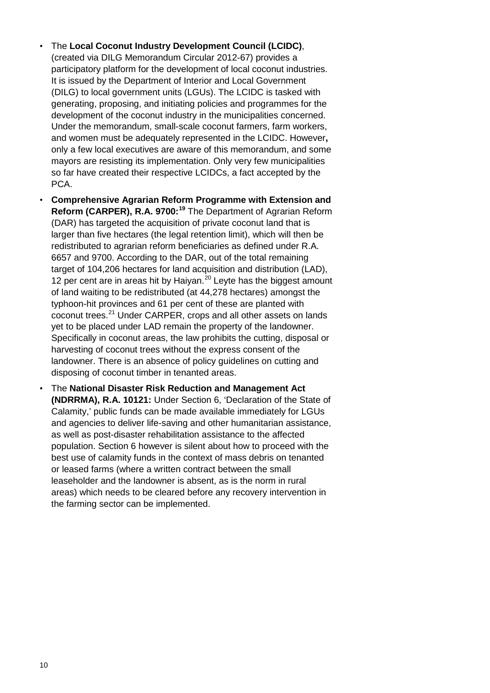- The **Local Coconut Industry Development Council (LCIDC)**, (created via DILG Memorandum Circular 2012-67) provides a participatory platform for the development of local coconut industries. It is issued by the Department of Interior and Local Government (DILG) to local government units (LGUs). The LCIDC is tasked with generating, proposing, and initiating policies and programmes for the development of the coconut industry in the municipalities concerned. Under the memorandum, small-scale coconut farmers, farm workers, and women must be adequately represented in the LCIDC. However**,**  only a few local executives are aware of this memorandum, and some mayors are resisting its implementation. Only very few municipalities so far have created their respective LCIDCs, a fact accepted by the PCA.
- **Comprehensive Agrarian Reform Programme with Extension and Reform (CARPER), R.A. 9700: [19](#page-12-18)** The Department of Agrarian Reform (DAR) has targeted the acquisition of private coconut land that is larger than five hectares (the legal retention limit), which will then be redistributed to agrarian reform beneficiaries as defined under R.A. 6657 and 9700. According to the DAR, out of the total remaining target of 104,206 hectares for land acquisition and distribution (LAD), 12 per cent are in areas hit by Haiyan.<sup>[20](#page-12-19)</sup> Leyte has the biggest amount of land waiting to be redistributed (at 44,278 hectares) amongst the typhoon-hit provinces and 61 per cent of these are planted with coconut trees. [21](#page-12-20) Under CARPER, crops and all other assets on lands yet to be placed under LAD remain the property of the landowner. Specifically in coconut areas, the law prohibits the cutting, disposal or harvesting of coconut trees without the express consent of the landowner. There is an absence of policy guidelines on cutting and disposing of coconut timber in tenanted areas.
- The **National Disaster Risk Reduction and Management Act (NDRRMA), R.A. 10121:** Under Section 6, 'Declaration of the State of Calamity,' public funds can be made available immediately for LGUs and agencies to deliver life-saving and other humanitarian assistance, as well as post-disaster rehabilitation assistance to the affected population. Section 6 however is silent about how to proceed with the best use of calamity funds in the context of mass debris on tenanted or leased farms (where a written contract between the small leaseholder and the landowner is absent, as is the norm in rural areas) which needs to be cleared before any recovery intervention in the farming sector can be implemented.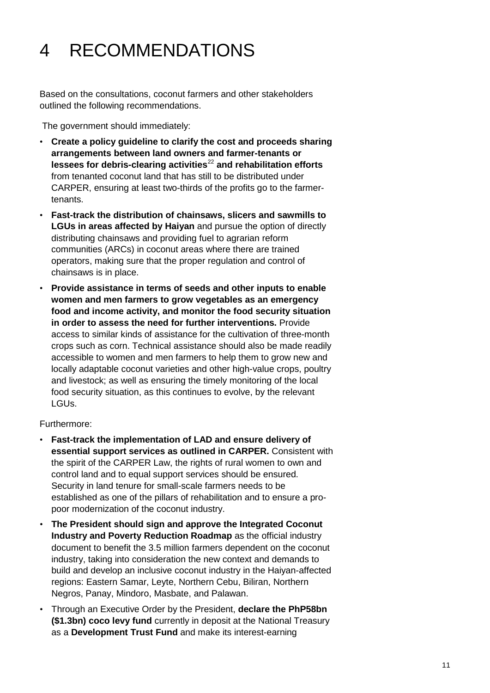# 4 RECOMMENDATIONS

Based on the consultations, coconut farmers and other stakeholders outlined the following recommendations.

The government should immediately:

- **Create a policy guideline to clarify the cost and proceeds sharing arrangements between land owners and farmer-tenants or lessees for debris-clearing activities**[22](#page-12-21) **and rehabilitation efforts** from tenanted coconut land that has still to be distributed under CARPER, ensuring at least two-thirds of the profits go to the farmertenants.
- **Fast-track the distribution of chainsaws, slicers and sawmills to LGUs in areas affected by Haiyan** and pursue the option of directly distributing chainsaws and providing fuel to agrarian reform communities (ARCs) in coconut areas where there are trained operators, making sure that the proper regulation and control of chainsaws is in place.
- **Provide assistance in terms of seeds and other inputs to enable women and men farmers to grow vegetables as an emergency food and income activity, and monitor the food security situation in order to assess the need for further interventions.** Provide access to similar kinds of assistance for the cultivation of three-month crops such as corn. Technical assistance should also be made readily accessible to women and men farmers to help them to grow new and locally adaptable coconut varieties and other high-value crops, poultry and livestock; as well as ensuring the timely monitoring of the local food security situation, as this continues to evolve, by the relevant LGUs.

Furthermore:

- **Fast-track the implementation of LAD and ensure delivery of essential support services as outlined in CARPER.** Consistent with the spirit of the CARPER Law, the rights of rural women to own and control land and to equal support services should be ensured. Security in land tenure for small-scale farmers needs to be established as one of the pillars of rehabilitation and to ensure a propoor modernization of the coconut industry.
- **The President should sign and approve the Integrated Coconut Industry and Poverty Reduction Roadmap** as the official industry document to benefit the 3.5 million farmers dependent on the coconut industry, taking into consideration the new context and demands to build and develop an inclusive coconut industry in the Haiyan-affected regions: Eastern Samar, Leyte, Northern Cebu, Biliran, Northern Negros, Panay, Mindoro, Masbate, and Palawan.
- Through an Executive Order by the President, **declare the PhP58bn (\$1.3bn) coco levy fund** currently in deposit at the National Treasury as a **Development Trust Fund** and make its interest-earning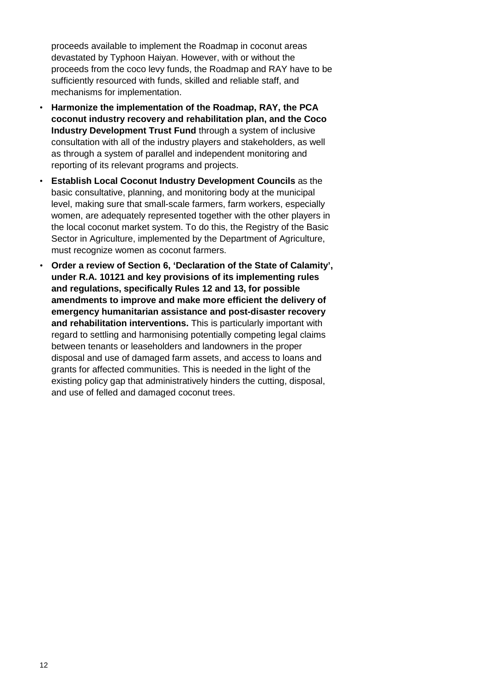proceeds available to implement the Roadmap in coconut areas devastated by Typhoon Haiyan. However, with or without the proceeds from the coco levy funds, the Roadmap and RAY have to be sufficiently resourced with funds, skilled and reliable staff, and mechanisms for implementation.

- **Harmonize the implementation of the Roadmap, RAY, the PCA coconut industry recovery and rehabilitation plan, and the Coco Industry Development Trust Fund** through a system of inclusive consultation with all of the industry players and stakeholders, as well as through a system of parallel and independent monitoring and reporting of its relevant programs and projects.
- **Establish Local Coconut Industry Development Councils** as the basic consultative, planning, and monitoring body at the municipal level, making sure that small-scale farmers, farm workers, especially women, are adequately represented together with the other players in the local coconut market system. To do this, the Registry of the Basic Sector in Agriculture, implemented by the Department of Agriculture, must recognize women as coconut farmers.
- **Order a review of Section 6, 'Declaration of the State of Calamity', under R.A. 10121 and key provisions of its implementing rules and regulations, specifically Rules 12 and 13, for possible amendments to improve and make more efficient the delivery of emergency humanitarian assistance and post-disaster recovery and rehabilitation interventions.** This is particularly important with regard to settling and harmonising potentially competing legal claims between tenants or leaseholders and landowners in the proper disposal and use of damaged farm assets, and access to loans and grants for affected communities. This is needed in the light of the existing policy gap that administratively hinders the cutting, disposal, and use of felled and damaged coconut trees.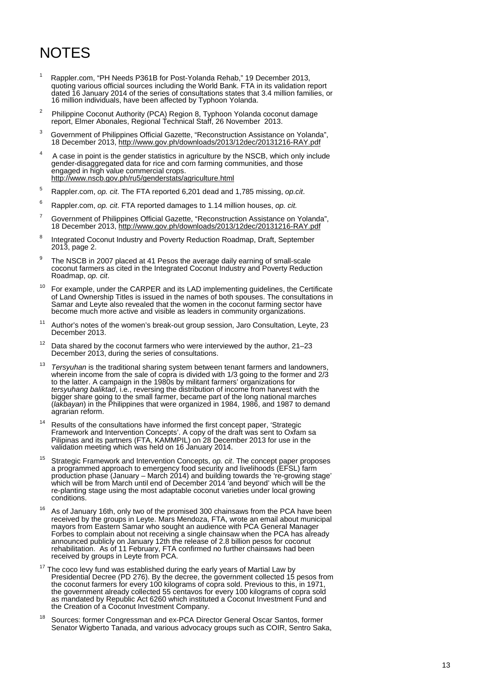### NOTES

- <span id="page-12-19"></span><span id="page-12-18"></span><span id="page-12-0"></span><sup>1</sup> Rappler.com, "PH Needs P361B for Post-Yolanda Rehab," 19 December 2013, quoting various official sources including the World Bank. FTA in its validation report dated 16 January 2014 of the series of consultations states that 3.4 million families, or 16 million individuals, have been affected by Typhoon Yolanda.
- <span id="page-12-21"></span><span id="page-12-20"></span><span id="page-12-1"></span>2 Philippine Coconut Authority (PCA) Region 8, Typhoon Yolanda coconut damage report, Elmer Abonales, Regional Technical Staff, 26 November 2013.
- <span id="page-12-2"></span>3 Government of Philippines Official Gazette, "Reconstruction Assistance on Yolanda", 18 December 2013, [http://www.gov.ph/downloads/2013/12dec/20131216](http://www.gov.ph/downloads/2013/12dec/20131216-RAY.pdf) -RAY.pdf
- <span id="page-12-3"></span><sup>4</sup> A case in point is the gender statistics in agriculture by the NSCB, which only include gender -disaggregated data for rice and corn farming communities, and those engaged in high value commercial crops. <http://www.nscb.gov.ph/ru5/genderstats/agriculture.html>
- <span id="page-12-4"></span><sup>5</sup> Rappler.com, *op. cit*. The FTA reported 6,201 dead and 1,785 missing, *op.cit*.
- <span id="page-12-5"></span><sup>6</sup> Rappler.com, *op. cit*. FTA reported damages to 1.14 million houses, *op. cit.*
- <span id="page-12-6"></span><sup>7</sup> Government of Philippines Official Gazette, "Reconstruction Assistance on Yolanda", 18 December 2013, [http://www.gov.ph/downloads/2013/12dec/20131216](http://www.gov.ph/downloads/2013/12dec/20131216-RAY.pdf) -RAY.pdf
- <span id="page-12-7"></span><sup>8</sup> Integrated Coconut Industry and Poverty Reduction Roadmap, Draft, September 2013, page 2.
- <span id="page-12-8"></span> $9$  The NSCB in 2007 placed at 41 Pesos the average daily earning of small-scale coconut farmers as cited in the Integrated Coconut Industry and Poverty Reduction Roadmap, *op. cit*.
- <span id="page-12-9"></span> $10$  For example, under the CARPER and its LAD implementing guidelines, the Certificate of Land Ownership Titles is issued in the names of both spouse s. The consultations in Samar and Leyte also revealed that the women in the coconut farming sector have become much more active and visible as leaders in community organizations.
- <span id="page-12-10"></span><sup>11</sup> Author's notes of the women's break-out group session, Jaro Consultation, Leyte, 23 December 2013.
- <span id="page-12-11"></span> $12$  Data shared by the coconut farmers who were interviewed by the author, 21–23 December 2013, during the series of consultations.
- <span id="page-12-12"></span><sup>13</sup> Tersyuhan is the traditional sharing system between tenant farmers and landowners, wherein income from the sale of copra is divided with 1/3 going to the former and 2/3 to the latter. A campaign in the 1980s by militant farmers' organizations for *tersyuhang baliktad*, i.e., reversing the distribution of income from harvest with the bigger share going to the small farmer, became part of the long national marches (*lakbayan*) in the Philippines that were organized in 1984, 1986, and 1987 to demand agrarian reform.
- <span id="page-12-13"></span><sup>14</sup> Results of the consultations have informed the first concept paper, 'Strategic Framework and Intervention Concepts '. A copy of the draft was sent to Oxfam sa Pilipinas and its partners (FTA, KAMMPIL) on 28 December 2013 for use in the validation meeting which was held on 16 January 2014.
- <span id="page-12-14"></span><sup>15</sup> Strategic Framework and Intervention Concepts, *op. cit*. The concept paper proposes a programmed approach to emergency food security and livelihoods (EFSL) farm production phase (January – March 2014) and building towards the 're -growing stage ' which will be from March until end of December 2014 'and beyond ' which will be the re -planting stage using the most adaptable coconut varieties under local growing conditions.
- <span id="page-12-15"></span> $16$  As of January 16th, only two of the promised 300 chainsaws from the PCA have been received by the groups in Leyte. Mars Mendoza, FTA, wrote an email about municipal mayors from Eastern Samar who sought an audience with PCA General Manager Forbes to complain about not receiving a single chainsaw when the PCA has already announced publicly on January 12th the release of 2.8 billion pesos for coconut rehabilitation. As of 11 February, FTA confirmed no further chainsaws had been received by groups in Leyte from PCA.
- <span id="page-12-16"></span>The coco levy fund was established during the early years of Martial Law by Presidential Decree (PD 276). By the decree, the government collected 15 pesos from the coconut farmers for every 100 kilograms of copra sold. Previous to this, in 1971, the government already collected 55 centavos for every 100 kilograms of copra sold as mandated by Republic Act 6260 which instituted a Coconut Investment Fund and the Creation of a Coconut Investment Company.
- <span id="page-12-17"></span><sup>18</sup> Sources: former Congressman and ex-PCA Director General Oscar Santos, former Senator Wigberto Tanada, and various advocacy groups such as COIR, Sentro Saka,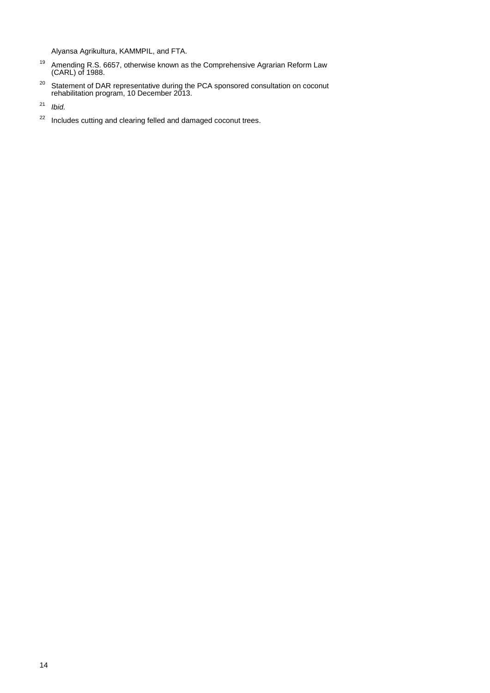Alyansa Agrikultura, KAMMPIL, and FTA.

- $19$  Amending R.S. 6657, otherwise known as the Comprehensive Agrarian Reform Law (CARL) of 1988.
- <sup>20</sup> Statement of DAR representative during the PCA sponsored consultation on coconut rehabilitation program, 10 December 2013.
- <sup>21</sup> *Ibid.*
- <sup>22</sup> Includes cutting and clearing felled and damaged coconut trees.